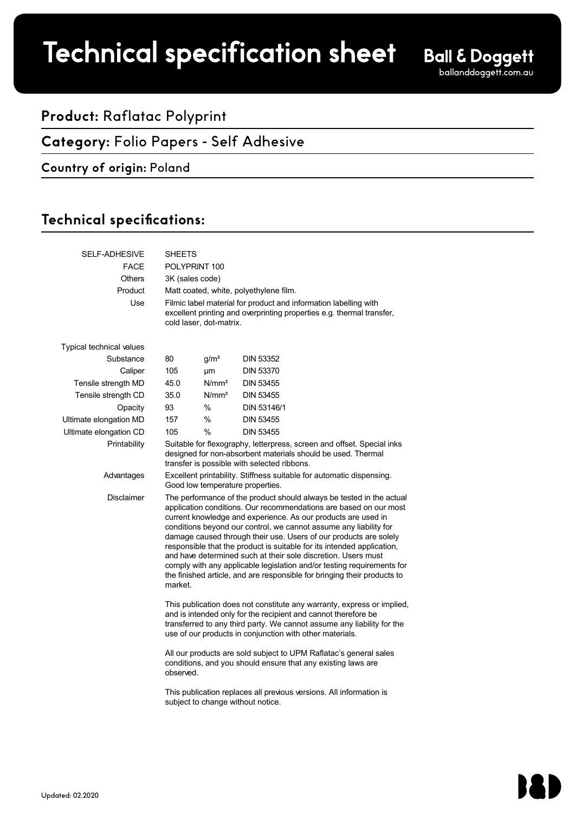# Technical specification sheet

## **Product:** Raflatac Polyprint

## **Category:** Folio Papers - Self Adhesive

#### **Country of origin:** Poland

## Technical specifications:

| <b>SELF-ADHESIVE</b>     | SHEETS                                                                                                                                                                                                                                                                                                                                                                                                                                                                                                                                                                                                                                                           |                                                                                                          |                  |  |  |
|--------------------------|------------------------------------------------------------------------------------------------------------------------------------------------------------------------------------------------------------------------------------------------------------------------------------------------------------------------------------------------------------------------------------------------------------------------------------------------------------------------------------------------------------------------------------------------------------------------------------------------------------------------------------------------------------------|----------------------------------------------------------------------------------------------------------|------------------|--|--|
| <b>FACE</b>              | POLYPRINT 100                                                                                                                                                                                                                                                                                                                                                                                                                                                                                                                                                                                                                                                    |                                                                                                          |                  |  |  |
| <b>Others</b>            | 3K (sales code)                                                                                                                                                                                                                                                                                                                                                                                                                                                                                                                                                                                                                                                  |                                                                                                          |                  |  |  |
| Product                  | Matt coated, white, polyethylene film.                                                                                                                                                                                                                                                                                                                                                                                                                                                                                                                                                                                                                           |                                                                                                          |                  |  |  |
| Use                      | Filmic label material for product and information labelling with<br>excellent printing and overprinting properties e.g. thermal transfer,<br>cold laser, dot-matrix.                                                                                                                                                                                                                                                                                                                                                                                                                                                                                             |                                                                                                          |                  |  |  |
| Typical technical values |                                                                                                                                                                                                                                                                                                                                                                                                                                                                                                                                                                                                                                                                  |                                                                                                          |                  |  |  |
| Substance                | 80                                                                                                                                                                                                                                                                                                                                                                                                                                                                                                                                                                                                                                                               | g/m <sup>2</sup>                                                                                         | <b>DIN 53352</b> |  |  |
| Caliper                  | 105                                                                                                                                                                                                                                                                                                                                                                                                                                                                                                                                                                                                                                                              | μm                                                                                                       | <b>DIN 53370</b> |  |  |
| Tensile strength MD      | 45.0                                                                                                                                                                                                                                                                                                                                                                                                                                                                                                                                                                                                                                                             | N/mm <sup>2</sup>                                                                                        | <b>DIN 53455</b> |  |  |
| Tensile strength CD      | 35.0                                                                                                                                                                                                                                                                                                                                                                                                                                                                                                                                                                                                                                                             | N/mm <sup>2</sup>                                                                                        | <b>DIN 53455</b> |  |  |
| Opacity                  | 93                                                                                                                                                                                                                                                                                                                                                                                                                                                                                                                                                                                                                                                               | $\%$                                                                                                     | DIN 53146/1      |  |  |
| Ultimate elongation MD   | 157                                                                                                                                                                                                                                                                                                                                                                                                                                                                                                                                                                                                                                                              | $\%$                                                                                                     | <b>DIN 53455</b> |  |  |
| Ultimate elongation CD   | 105                                                                                                                                                                                                                                                                                                                                                                                                                                                                                                                                                                                                                                                              | $\%$                                                                                                     | <b>DIN 53455</b> |  |  |
| Printability             | Suitable for flexography, letterpress, screen and offset. Special inks<br>designed for non-absorbent materials should be used. Thermal<br>transfer is possible with selected ribbons.                                                                                                                                                                                                                                                                                                                                                                                                                                                                            |                                                                                                          |                  |  |  |
| Advantages               | Excellent printability. Stiffness suitable for automatic dispensing.<br>Good low temperature properties.                                                                                                                                                                                                                                                                                                                                                                                                                                                                                                                                                         |                                                                                                          |                  |  |  |
| <b>Disclaimer</b>        | The performance of the product should always be tested in the actual<br>application conditions. Our recommendations are based on our most<br>current knowledge and experience. As our products are used in<br>conditions beyond our control, we cannot assume any liability for<br>damage caused through their use. Users of our products are solely<br>responsible that the product is suitable for its intended application,<br>and have determined such at their sole discretion. Users must<br>comply with any applicable legislation and/or testing requirements for<br>the finished article, and are responsible for bringing their products to<br>market. |                                                                                                          |                  |  |  |
|                          | This publication does not constitute any warranty, express or implied,<br>and is intended only for the recipient and cannot therefore be<br>transferred to any third party. We cannot assume any liability for the<br>use of our products in conjunction with other materials.<br>All our products are sold subject to UPM Raflatac's general sales<br>conditions, and you should ensure that any existing laws are<br>observed.                                                                                                                                                                                                                                 |                                                                                                          |                  |  |  |
|                          |                                                                                                                                                                                                                                                                                                                                                                                                                                                                                                                                                                                                                                                                  |                                                                                                          |                  |  |  |
|                          |                                                                                                                                                                                                                                                                                                                                                                                                                                                                                                                                                                                                                                                                  | This publication replaces all previous versions. All information is<br>subject to change without notice. |                  |  |  |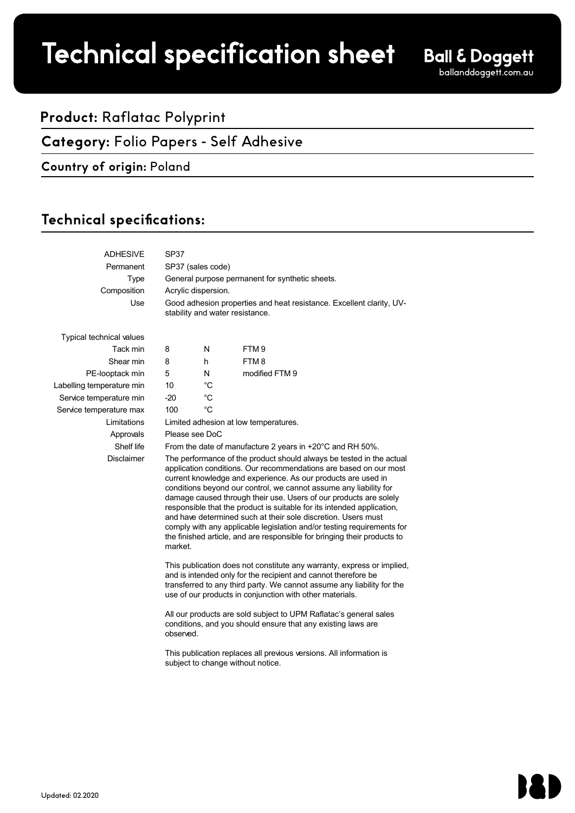## Technical specification sheet

### **Product:** Raflatac Polyprint

#### **Category:** Folio Papers - Self Adhesive

#### **Country of origin:** Poland

## Technical specifications:

| <b>ADHESIVE</b>                 | SP37                                                                                                                                                                                                                                                                                                                                                                                                                                                                                                                                                                                                                                                             |    |                  |  |  |
|---------------------------------|------------------------------------------------------------------------------------------------------------------------------------------------------------------------------------------------------------------------------------------------------------------------------------------------------------------------------------------------------------------------------------------------------------------------------------------------------------------------------------------------------------------------------------------------------------------------------------------------------------------------------------------------------------------|----|------------------|--|--|
| Permanent                       | SP37 (sales code)                                                                                                                                                                                                                                                                                                                                                                                                                                                                                                                                                                                                                                                |    |                  |  |  |
| <b>Type</b>                     | General purpose permanent for synthetic sheets.                                                                                                                                                                                                                                                                                                                                                                                                                                                                                                                                                                                                                  |    |                  |  |  |
| Composition                     | Acrylic dispersion.                                                                                                                                                                                                                                                                                                                                                                                                                                                                                                                                                                                                                                              |    |                  |  |  |
| Use                             | Good adhesion properties and heat resistance. Excellent clarity, UV-<br>stability and water resistance.                                                                                                                                                                                                                                                                                                                                                                                                                                                                                                                                                          |    |                  |  |  |
| <b>Typical technical values</b> |                                                                                                                                                                                                                                                                                                                                                                                                                                                                                                                                                                                                                                                                  |    |                  |  |  |
| Tack min                        | 8                                                                                                                                                                                                                                                                                                                                                                                                                                                                                                                                                                                                                                                                | N  | FTM <sub>9</sub> |  |  |
| Shear min                       | 8                                                                                                                                                                                                                                                                                                                                                                                                                                                                                                                                                                                                                                                                | h  | FTM8             |  |  |
| PE-looptack min                 | 5                                                                                                                                                                                                                                                                                                                                                                                                                                                                                                                                                                                                                                                                | N  | modified FTM 9   |  |  |
| Labelling temperature min       | 10                                                                                                                                                                                                                                                                                                                                                                                                                                                                                                                                                                                                                                                               | °C |                  |  |  |
| Service temperature min         | $-20$                                                                                                                                                                                                                                                                                                                                                                                                                                                                                                                                                                                                                                                            | °C |                  |  |  |
| Service temperature max         | 100                                                                                                                                                                                                                                                                                                                                                                                                                                                                                                                                                                                                                                                              | °C |                  |  |  |
| Limitations                     | Limited adhesion at low temperatures.                                                                                                                                                                                                                                                                                                                                                                                                                                                                                                                                                                                                                            |    |                  |  |  |
| Approvals                       | Please see DoC                                                                                                                                                                                                                                                                                                                                                                                                                                                                                                                                                                                                                                                   |    |                  |  |  |
| Shelf life                      | From the date of manufacture 2 years in +20°C and RH 50%.                                                                                                                                                                                                                                                                                                                                                                                                                                                                                                                                                                                                        |    |                  |  |  |
| <b>Disclaimer</b>               | The performance of the product should always be tested in the actual<br>application conditions. Our recommendations are based on our most<br>current knowledge and experience. As our products are used in<br>conditions beyond our control, we cannot assume any liability for<br>damage caused through their use. Users of our products are solely<br>responsible that the product is suitable for its intended application,<br>and have determined such at their sole discretion. Users must<br>comply with any applicable legislation and/or testing requirements for<br>the finished article, and are responsible for bringing their products to<br>market. |    |                  |  |  |
|                                 | This publication does not constitute any warranty, express or implied,<br>and is intended only for the recipient and cannot therefore be<br>transferred to any third party. We cannot assume any liability for the<br>use of our products in conjunction with other materials.                                                                                                                                                                                                                                                                                                                                                                                   |    |                  |  |  |

All our products are sold subject to UPM Raflatac's general sales conditions, and you should ensure that any existing laws are observed.

This publication replaces all previous versions. All information is subject to change without notice.